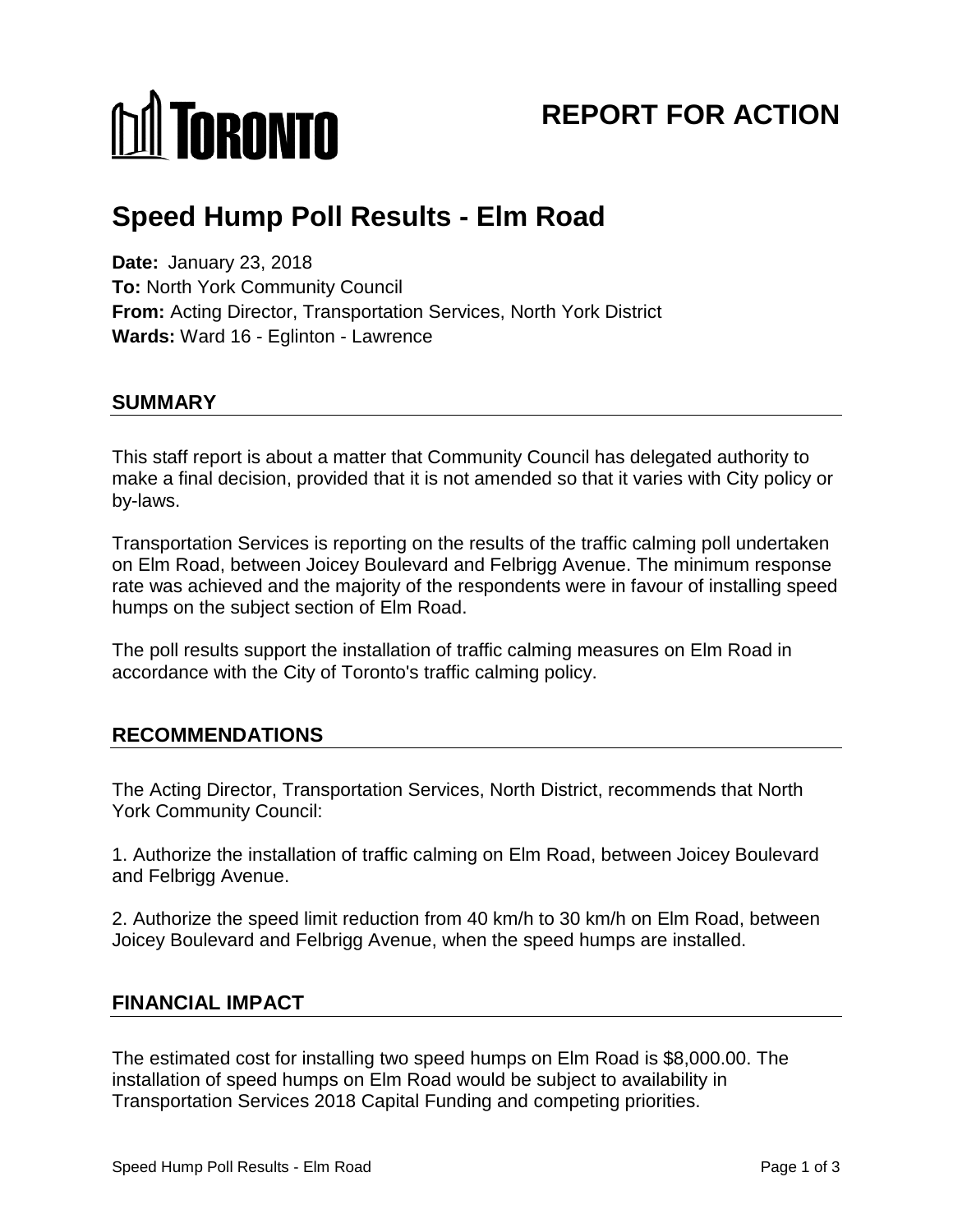# **M** TORONTO

# **REPORT FOR ACTION**

# **Speed Hump Poll Results - Elm Road**

**Date:** January 23, 2018 **To:** North York Community Council **From:** Acting Director, Transportation Services, North York District **Wards:** Ward 16 - Eglinton - Lawrence

### **SUMMARY**

This staff report is about a matter that Community Council has delegated authority to make a final decision, provided that it is not amended so that it varies with City policy or by-laws.

Transportation Services is reporting on the results of the traffic calming poll undertaken on Elm Road, between Joicey Boulevard and Felbrigg Avenue. The minimum response rate was achieved and the majority of the respondents were in favour of installing speed humps on the subject section of Elm Road.

The poll results support the installation of traffic calming measures on Elm Road in accordance with the City of Toronto's traffic calming policy.

# **RECOMMENDATIONS**

The Acting Director, Transportation Services, North District, recommends that North York Community Council:

1. Authorize the installation of traffic calming on Elm Road, between Joicey Boulevard and Felbrigg Avenue.

2. Authorize the speed limit reduction from 40 km/h to 30 km/h on Elm Road, between Joicey Boulevard and Felbrigg Avenue, when the speed humps are installed.

# **FINANCIAL IMPACT**

The estimated cost for installing two speed humps on Elm Road is \$8,000.00. The installation of speed humps on Elm Road would be subject to availability in Transportation Services 2018 Capital Funding and competing priorities.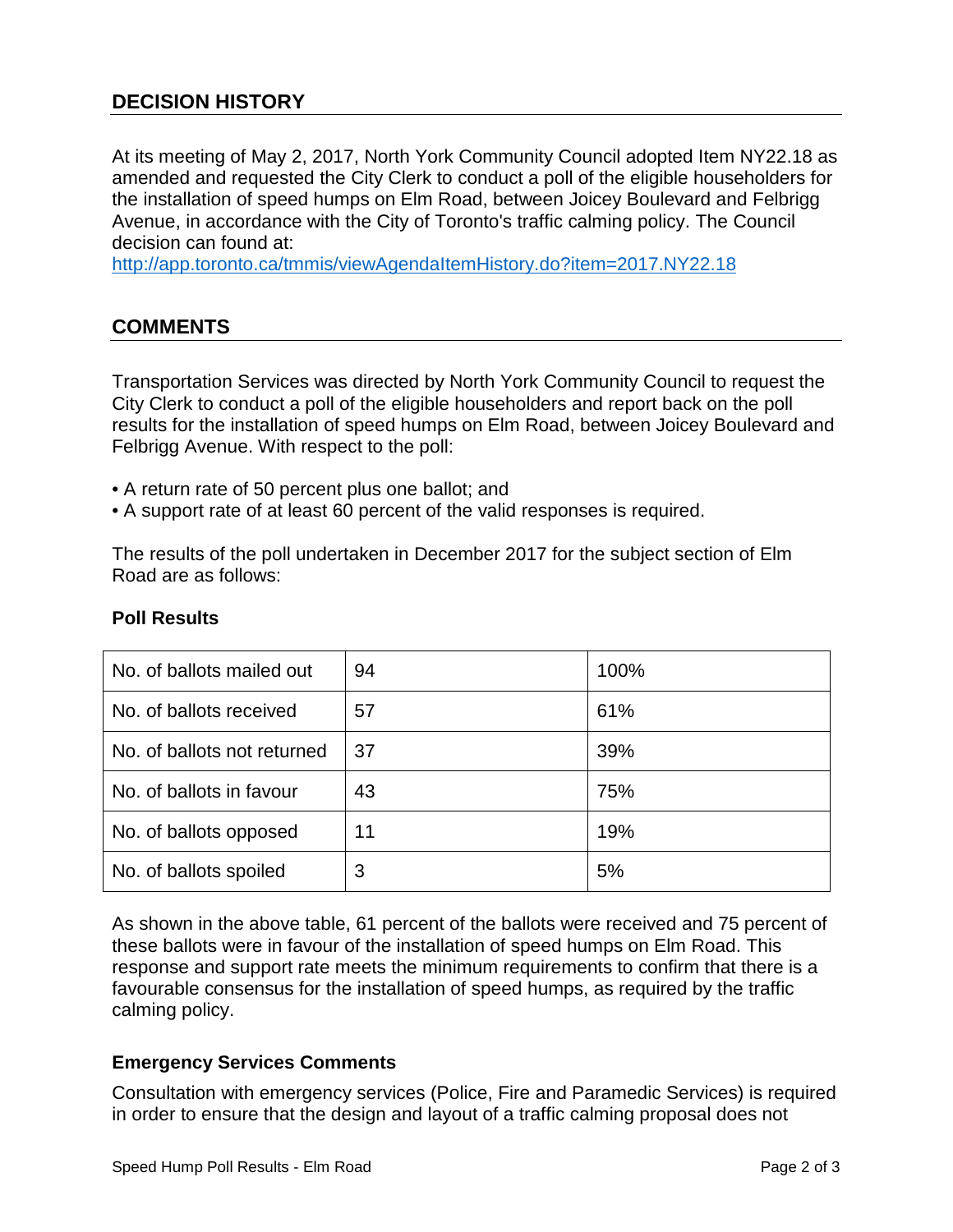# **DECISION HISTORY**

At its meeting of May 2, 2017, North York Community Council adopted Item NY22.18 as amended and requested the City Clerk to conduct a poll of the eligible householders for the installation of speed humps on Elm Road, between Joicey Boulevard and Felbrigg Avenue, in accordance with the City of Toronto's traffic calming policy. The Council decision can found at:

<http://app.toronto.ca/tmmis/viewAgendaItemHistory.do?item=2017.NY22.18>

# **COMMENTS**

Transportation Services was directed by North York Community Council to request the City Clerk to conduct a poll of the eligible householders and report back on the poll results for the installation of speed humps on Elm Road, between Joicey Boulevard and Felbrigg Avenue. With respect to the poll:

- A return rate of 50 percent plus one ballot; and
- A support rate of at least 60 percent of the valid responses is required.

The results of the poll undertaken in December 2017 for the subject section of Elm Road are as follows:

| No. of ballots mailed out   | 94 | 100% |
|-----------------------------|----|------|
| No. of ballots received     | 57 | 61%  |
| No. of ballots not returned | 37 | 39%  |
| No. of ballots in favour    | 43 | 75%  |
| No. of ballots opposed      | 11 | 19%  |
| No. of ballots spoiled      | 3  | 5%   |

#### **Poll Results**

As shown in the above table, 61 percent of the ballots were received and 75 percent of these ballots were in favour of the installation of speed humps on Elm Road. This response and support rate meets the minimum requirements to confirm that there is a favourable consensus for the installation of speed humps, as required by the traffic calming policy.

#### **Emergency Services Comments**

Consultation with emergency services (Police, Fire and Paramedic Services) is required in order to ensure that the design and layout of a traffic calming proposal does not